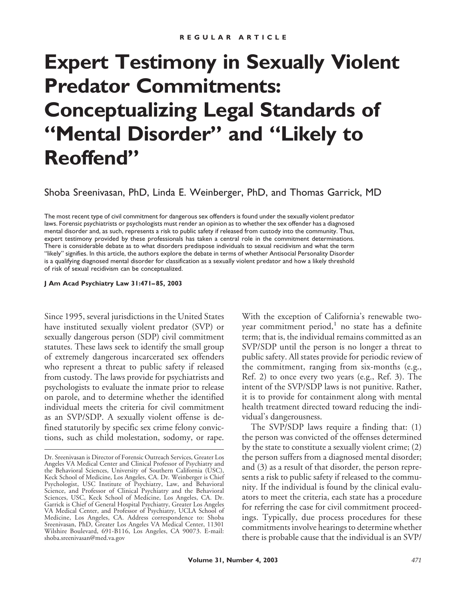# **Expert Testimony in Sexually Violent Predator Commitments: Conceptualizing Legal Standards of "Mental Disorder" and "Likely to Reoffend"**

Shoba Sreenivasan, PhD, Linda E. Weinberger, PhD, and Thomas Garrick, MD

The most recent type of civil commitment for dangerous sex offenders is found under the sexually violent predator laws. Forensic psychiatrists or psychologists must render an opinion as to whether the sex offender has a diagnosed mental disorder and, as such, represents a risk to public safety if released from custody into the community. Thus, expert testimony provided by these professionals has taken a central role in the commitment determinations. There is considerable debate as to what disorders predispose individuals to sexual recidivism and what the term "likely" signifies. In this article, the authors explore the debate in terms of whether Antisocial Personality Disorder is a qualifying diagnosed mental disorder for classification as a sexually violent predator and how a likely threshold of risk of sexual recidivism can be conceptualized.

**J Am Acad Psychiatry Law 31:471–85, 2003**

Since 1995, several jurisdictions in the United States have instituted sexually violent predator (SVP) or sexually dangerous person (SDP) civil commitment statutes. These laws seek to identify the small group of extremely dangerous incarcerated sex offenders who represent a threat to public safety if released from custody. The laws provide for psychiatrists and psychologists to evaluate the inmate prior to release on parole, and to determine whether the identified individual meets the criteria for civil commitment as an SVP/SDP. A sexually violent offense is defined statutorily by specific sex crime felony convictions, such as child molestation, sodomy, or rape.

With the exception of California's renewable twoyear commitment period, $\frac{1}{1}$  no state has a definite term; that is, the individual remains committed as an SVP/SDP until the person is no longer a threat to public safety. All states provide for periodic review of the commitment, ranging from six-months (e.g., Ref. 2) to once every two years (e.g., Ref. 3). The intent of the SVP/SDP laws is not punitive. Rather, it is to provide for containment along with mental health treatment directed toward reducing the individual's dangerousness.

The SVP/SDP laws require a finding that: (1) the person was convicted of the offenses determined by the state to constitute a sexually violent crime; (2) the person suffers from a diagnosed mental disorder; and (3) as a result of that disorder, the person represents a risk to public safety if released to the community. If the individual is found by the clinical evaluators to meet the criteria, each state has a procedure for referring the case for civil commitment proceedings. Typically, due process procedures for these commitments involve hearings to determine whether there is probable cause that the individual is an SVP/

Dr. Sreenivasan is Director of Forensic Outreach Services, Greater Los Angeles VA Medical Center and Clinical Professor of Psychiatry and the Behavioral Sciences, University of Southern California (USC), Keck School of Medicine, Los Angeles, CA. Dr. Weinberger is Chief Psychologist, USC Institute of Psychiatry, Law, and Behavioral Science, and Professor of Clinical Psychiatry and the Behavioral Sciences, USC, Keck School of Medicine, Los Angeles, CA. Dr. Garrick is Chief of General Hospital Psychiatry, Greater Los Angeles VA Medical Center, and Professor of Psychiatry, UCLA School of Medicine, Los Angeles, CA. Address correspondence to: Shoba Sreenivasan, PhD, Greater Los Angeles VA Medical Center, 11301 Wilshire Boulevard, 691-B116, Los Angeles, CA 90073. E-mail: shoba.sreenivasan@med.va.gov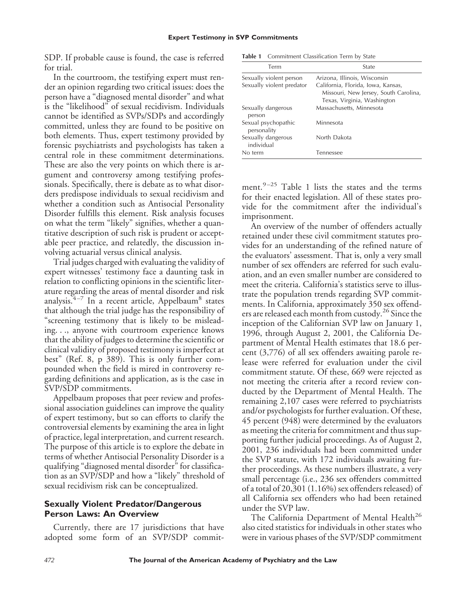SDP. If probable cause is found, the case is referred for trial.

In the courtroom, the testifying expert must render an opinion regarding two critical issues: does the person have a "diagnosed mental disorder" and what is the "likelihood" of sexual recidivism. Individuals cannot be identified as SVPs/SDPs and accordingly committed, unless they are found to be positive on both elements. Thus, expert testimony provided by forensic psychiatrists and psychologists has taken a central role in these commitment determinations. These are also the very points on which there is argument and controversy among testifying professionals. Specifically, there is debate as to what disorders predispose individuals to sexual recidivism and whether a condition such as Antisocial Personality Disorder fulfills this element. Risk analysis focuses on what the term "likely" signifies, whether a quantitative description of such risk is prudent or acceptable peer practice, and relatedly, the discussion involving actuarial versus clinical analysis.

Trial judges charged with evaluating the validity of expert witnesses' testimony face a daunting task in relation to conflicting opinions in the scientific literature regarding the areas of mental disorder and risk analysis.  $4-7$  In a recent article, Appelbaum<sup>8</sup> states that although the trial judge has the responsibility of "screening testimony that is likely to be misleading. . ., anyone with courtroom experience knows that the ability of judges to determine the scientific or clinical validity of proposed testimony is imperfect at best" (Ref. 8, p 389). This is only further compounded when the field is mired in controversy regarding definitions and application, as is the case in SVP/SDP commitments.

Appelbaum proposes that peer review and professional association guidelines can improve the quality of expert testimony, but so can efforts to clarify the controversial elements by examining the area in light of practice, legal interpretation, and current research. The purpose of this article is to explore the debate in terms of whether Antisocial Personality Disorder is a qualifying "diagnosed mental disorder" for classification as an SVP/SDP and how a "likely" threshold of sexual recidivism risk can be conceptualized.

## **Sexually Violent Predator/Dangerous Person Laws: An Overview**

Currently, there are 17 jurisdictions that have adopted some form of an SVP/SDP commit-

**Table 1** Commitment Classification Term by State

| Term                               | State                                                                                                      |
|------------------------------------|------------------------------------------------------------------------------------------------------------|
| Sexually violent person            | Arizona, Illinois, Wisconsin                                                                               |
| Sexually violent predator          | California, Florida, Iowa, Kansas,<br>Missouri, New Jersey, South Carolina,<br>Texas, Virginia, Washington |
| Sexually dangerous<br>person       | Massachusetts, Minnesota                                                                                   |
| Sexual psychopathic<br>personality | Minnesota                                                                                                  |
| Sexually dangerous<br>individual   | North Dakota                                                                                               |
| No term                            | Tennessee                                                                                                  |

ment.<sup>9-25</sup> Table 1 lists the states and the terms for their enacted legislation. All of these states provide for the commitment after the individual's imprisonment.

An overview of the number of offenders actually retained under these civil commitment statutes provides for an understanding of the refined nature of the evaluators' assessment. That is, only a very small number of sex offenders are referred for such evaluation, and an even smaller number are considered to meet the criteria. California's statistics serve to illustrate the population trends regarding SVP commitments. In California, approximately 350 sex offenders are released each month from custody.<sup>26</sup> Since the inception of the Californian SVP law on January 1, 1996, through August 2, 2001, the California Department of Mental Health estimates that 18.6 percent (3,776) of all sex offenders awaiting parole release were referred for evaluation under the civil commitment statute. Of these, 669 were rejected as not meeting the criteria after a record review conducted by the Department of Mental Health. The remaining 2,107 cases were referred to psychiatrists and/or psychologists for further evaluation. Of these, 45 percent (948) were determined by the evaluators as meeting the criteria for commitment and thus supporting further judicial proceedings. As of August 2, 2001, 236 individuals had been committed under the SVP statute, with 172 individuals awaiting further proceedings. As these numbers illustrate, a very small percentage (i.e., 236 sex offenders committed of a total of 20,301 (1.16%) sex offenders released) of all California sex offenders who had been retained under the SVP law.

The California Department of Mental Health<sup>26</sup> also cited statistics for individuals in other states who were in various phases of the SVP/SDP commitment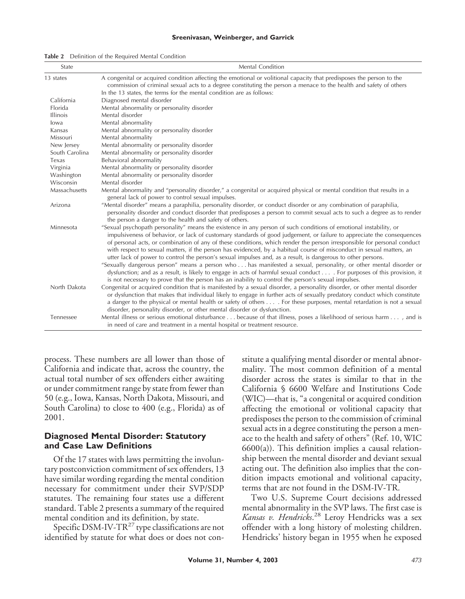| State           | Mental Condition                                                                                                                                                                                                                                                                                                                                                                                                                                                                                                                                                                                                                                                                                                                                                                                                                                                                                                                                                     |
|-----------------|----------------------------------------------------------------------------------------------------------------------------------------------------------------------------------------------------------------------------------------------------------------------------------------------------------------------------------------------------------------------------------------------------------------------------------------------------------------------------------------------------------------------------------------------------------------------------------------------------------------------------------------------------------------------------------------------------------------------------------------------------------------------------------------------------------------------------------------------------------------------------------------------------------------------------------------------------------------------|
| 13 states       | A congenital or acquired condition affecting the emotional or volitional capacity that predisposes the person to the<br>commission of criminal sexual acts to a degree constituting the person a menace to the health and safety of others<br>In the 13 states, the terms for the mental condition are as follows:                                                                                                                                                                                                                                                                                                                                                                                                                                                                                                                                                                                                                                                   |
| California      | Diagnosed mental disorder                                                                                                                                                                                                                                                                                                                                                                                                                                                                                                                                                                                                                                                                                                                                                                                                                                                                                                                                            |
| Florida         | Mental abnormality or personality disorder                                                                                                                                                                                                                                                                                                                                                                                                                                                                                                                                                                                                                                                                                                                                                                                                                                                                                                                           |
| <b>Illinois</b> | Mental disorder                                                                                                                                                                                                                                                                                                                                                                                                                                                                                                                                                                                                                                                                                                                                                                                                                                                                                                                                                      |
| lowa            | Mental abnormality                                                                                                                                                                                                                                                                                                                                                                                                                                                                                                                                                                                                                                                                                                                                                                                                                                                                                                                                                   |
| Kansas          | Mental abnormality or personality disorder                                                                                                                                                                                                                                                                                                                                                                                                                                                                                                                                                                                                                                                                                                                                                                                                                                                                                                                           |
| Missouri        | Mental abnormality                                                                                                                                                                                                                                                                                                                                                                                                                                                                                                                                                                                                                                                                                                                                                                                                                                                                                                                                                   |
| New Jersey      | Mental abnormality or personality disorder                                                                                                                                                                                                                                                                                                                                                                                                                                                                                                                                                                                                                                                                                                                                                                                                                                                                                                                           |
| South Carolina  | Mental abnormality or personality disorder                                                                                                                                                                                                                                                                                                                                                                                                                                                                                                                                                                                                                                                                                                                                                                                                                                                                                                                           |
| Texas           | Behavioral abnormality                                                                                                                                                                                                                                                                                                                                                                                                                                                                                                                                                                                                                                                                                                                                                                                                                                                                                                                                               |
| Virginia        | Mental abnormality or personality disorder                                                                                                                                                                                                                                                                                                                                                                                                                                                                                                                                                                                                                                                                                                                                                                                                                                                                                                                           |
| Washington      | Mental abnormality or personality disorder                                                                                                                                                                                                                                                                                                                                                                                                                                                                                                                                                                                                                                                                                                                                                                                                                                                                                                                           |
| Wisconsin       | Mental disorder                                                                                                                                                                                                                                                                                                                                                                                                                                                                                                                                                                                                                                                                                                                                                                                                                                                                                                                                                      |
| Massachusetts   | Mental abnormality and "personality disorder," a congenital or acquired physical or mental condition that results in a<br>general lack of power to control sexual impulses.                                                                                                                                                                                                                                                                                                                                                                                                                                                                                                                                                                                                                                                                                                                                                                                          |
| Arizona         | "Mental disorder" means a paraphilia, personality disorder, or conduct disorder or any combination of paraphilia,<br>personality disorder and conduct disorder that predisposes a person to commit sexual acts to such a degree as to render<br>the person a danger to the health and safety of others.                                                                                                                                                                                                                                                                                                                                                                                                                                                                                                                                                                                                                                                              |
| Minnesota       | "Sexual psychopath personality" means the existence in any person of such conditions of emotional instability, or<br>impulsiveness of behavior, or lack of customary standards of good judgement, or failure to appreciate the consequences<br>of personal acts, or combination of any of these conditions, which render the person irresponsible for personal conduct<br>with respect to sexual matters, if the person has evidenced, by a habitual course of misconduct in sexual matters, an<br>utter lack of power to control the person's sexual impulses and, as a result, is dangerous to other persons.<br>"Sexually dangerous person" means a person who has manifested a sexual, personality, or other mental disorder or<br>dysfunction; and as a result, is likely to engage in acts of harmful sexual conduct For purposes of this provision, it<br>is not necessary to prove that the person has an inability to control the person's sexual impulses. |
| North Dakota    | Congenital or acquired condition that is manifested by a sexual disorder, a personality disorder, or other mental disorder<br>or dysfunction that makes that individual likely to engage in further acts of sexually predatory conduct which constitute<br>a danger to the physical or mental health or safety of others For these purposes, mental retardation is not a sexual<br>disorder, personality disorder, or other mental disorder or dysfunction.                                                                                                                                                                                                                                                                                                                                                                                                                                                                                                          |
| Tennessee       | Mental illness or serious emotional disturbance because of that illness, poses a likelihood of serious harm , and is<br>in need of care and treatment in a mental hospital or treatment resource.                                                                                                                                                                                                                                                                                                                                                                                                                                                                                                                                                                                                                                                                                                                                                                    |

**Table 2** Definition of the Required Mental Condition

process. These numbers are all lower than those of California and indicate that, across the country, the actual total number of sex offenders either awaiting or under commitment range by state from fewer than 50 (e.g., Iowa, Kansas, North Dakota, Missouri, and South Carolina) to close to 400 (e.g., Florida) as of 2001.

## **Diagnosed Mental Disorder: Statutory and Case Law Definitions**

Of the 17 states with laws permitting the involuntary postconviction commitment of sex offenders, 13 have similar wording regarding the mental condition necessary for commitment under their SVP/SDP statutes. The remaining four states use a different standard. Table 2 presents a summary of the required mental condition and its definition, by state.

Specific DSM-IV-TR<sup>27</sup> type classifications are not identified by statute for what does or does not constitute a qualifying mental disorder or mental abnormality. The most common definition of a mental disorder across the states is similar to that in the California § 6600 Welfare and Institutions Code (WIC)—that is, "a congenital or acquired condition affecting the emotional or volitional capacity that predisposes the person to the commission of criminal sexual acts in a degree constituting the person a menace to the health and safety of others" (Ref. 10, WIC  $6600(a)$ ). This definition implies a causal relationship between the mental disorder and deviant sexual acting out. The definition also implies that the condition impacts emotional and volitional capacity, terms that are not found in the DSM-IV-TR.

Two U.S. Supreme Court decisions addressed mental abnormality in the SVP laws. The first case is *Kansas v. Hendricks*. <sup>28</sup> Leroy Hendricks was a sex offender with a long history of molesting children. Hendricks' history began in 1955 when he exposed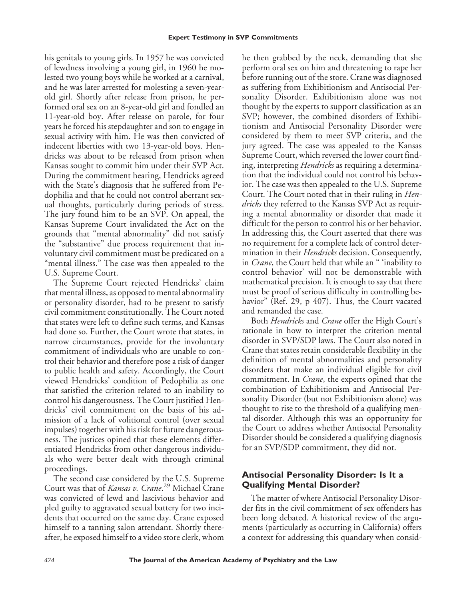his genitals to young girls. In 1957 he was convicted of lewdness involving a young girl, in 1960 he molested two young boys while he worked at a carnival, and he was later arrested for molesting a seven-yearold girl. Shortly after release from prison, he performed oral sex on an 8-year-old girl and fondled an 11-year-old boy. After release on parole, for four years he forced his stepdaughter and son to engage in sexual activity with him. He was then convicted of indecent liberties with two 13-year-old boys. Hendricks was about to be released from prison when Kansas sought to commit him under their SVP Act. During the commitment hearing, Hendricks agreed with the State's diagnosis that he suffered from Pedophilia and that he could not control aberrant sexual thoughts, particularly during periods of stress. The jury found him to be an SVP. On appeal, the Kansas Supreme Court invalidated the Act on the grounds that "mental abnormality" did not satisfy the "substantive" due process requirement that involuntary civil commitment must be predicated on a "mental illness." The case was then appealed to the U.S. Supreme Court.

The Supreme Court rejected Hendricks' claim that mental illness, as opposed to mental abnormality or personality disorder, had to be present to satisfy civil commitment constitutionally. The Court noted that states were left to define such terms, and Kansas had done so. Further, the Court wrote that states, in narrow circumstances, provide for the involuntary commitment of individuals who are unable to control their behavior and therefore pose a risk of danger to public health and safety. Accordingly, the Court viewed Hendricks' condition of Pedophilia as one that satisfied the criterion related to an inability to control his dangerousness. The Court justified Hendricks' civil commitment on the basis of his admission of a lack of volitional control (over sexual impulses) together with his risk for future dangerousness. The justices opined that these elements differentiated Hendricks from other dangerous individuals who were better dealt with through criminal proceedings.

The second case considered by the U.S. Supreme Court was that of *Kansas v. Crane*. <sup>29</sup> Michael Crane was convicted of lewd and lascivious behavior and pled guilty to aggravated sexual battery for two incidents that occurred on the same day. Crane exposed himself to a tanning salon attendant. Shortly thereafter, he exposed himself to a video store clerk, whom he then grabbed by the neck, demanding that she perform oral sex on him and threatening to rape her before running out of the store. Crane was diagnosed as suffering from Exhibitionism and Antisocial Personality Disorder. Exhibitionism alone was not thought by the experts to support classification as an SVP; however, the combined disorders of Exhibitionism and Antisocial Personality Disorder were considered by them to meet SVP criteria, and the jury agreed. The case was appealed to the Kansas Supreme Court, which reversed the lower court finding, interpreting *Hendricks* as requiring a determination that the individual could not control his behavior. The case was then appealed to the U.S. Supreme Court. The Court noted that in their ruling in *Hendricks* they referred to the Kansas SVP Act as requiring a mental abnormality or disorder that made it difficult for the person to control his or her behavior. In addressing this, the Court asserted that there was no requirement for a complete lack of control determination in their *Hendricks* decision. Consequently, in *Crane*, the Court held that while an " 'inability to control behavior' will not be demonstrable with mathematical precision. It is enough to say that there must be proof of serious difficulty in controlling behavior" (Ref. 29, p 407). Thus, the Court vacated and remanded the case.

Both *Hendricks* and *Crane* offer the High Court's rationale in how to interpret the criterion mental disorder in SVP/SDP laws. The Court also noted in Crane that states retain considerable flexibility in the definition of mental abnormalities and personality disorders that make an individual eligible for civil commitment. In *Crane*, the experts opined that the combination of Exhibitionism and Antisocial Personality Disorder (but not Exhibitionism alone) was thought to rise to the threshold of a qualifying mental disorder. Although this was an opportunity for the Court to address whether Antisocial Personality Disorder should be considered a qualifying diagnosis for an SVP/SDP commitment, they did not.

# **Antisocial Personality Disorder: Is It a Qualifying Mental Disorder?**

The matter of where Antisocial Personality Disorder fits in the civil commitment of sex offenders has been long debated. A historical review of the arguments (particularly as occurring in California) offers a context for addressing this quandary when consid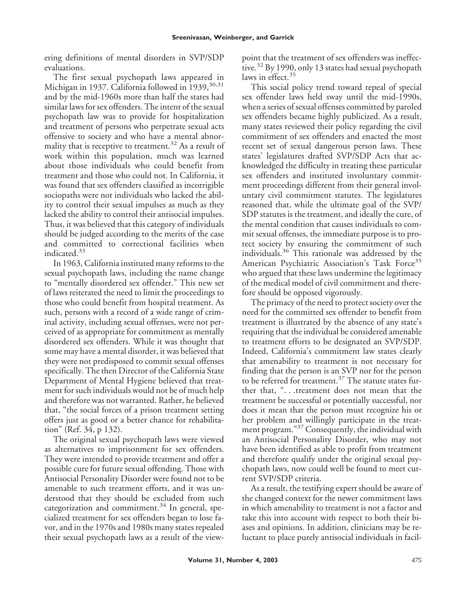ering definitions of mental disorders in SVP/SDP evaluations.

The first sexual psychopath laws appeared in Michigan in 1937. California followed in 1939, 30, 31 and by the mid-1960s more than half the states had similar laws for sex offenders. The intent of the sexual psychopath law was to provide for hospitalization and treatment of persons who perpetrate sexual acts offensive to society and who have a mental abnormality that is receptive to treatment.<sup>32</sup> As a result of work within this population, much was learned about those individuals who could benefit from treatment and those who could not. In California, it was found that sex offenders classified as incorrigible sociopaths were not individuals who lacked the ability to control their sexual impulses as much as they lacked the ability to control their antisocial impulses. Thus, it was believed that this category of individuals should be judged according to the merits of the case and committed to correctional facilities when indicated.<sup>33</sup>

In 1963, California instituted many reforms to the sexual psychopath laws, including the name change to "mentally disordered sex offender." This new set of laws reiterated the need to limit the proceedings to those who could benefit from hospital treatment. As such, persons with a record of a wide range of criminal activity, including sexual offenses, were not perceived of as appropriate for commitment as mentally disordered sex offenders. While it was thought that some may have a mental disorder, it was believed that they were not predisposed to commit sexual offenses specifically. The then Director of the California State Department of Mental Hygiene believed that treatment for such individuals would not be of much help and therefore was not warranted. Rather, he believed that, "the social forces of a prison treatment setting offers just as good or a better chance for rehabilitation" (Ref. 34, p 132).

The original sexual psychopath laws were viewed as alternatives to imprisonment for sex offenders. They were intended to provide treatment and offer a possible cure for future sexual offending. Those with Antisocial Personality Disorder were found not to be amenable to such treatment efforts, and it was understood that they should be excluded from such categorization and commitment. $34$  In general, specialized treatment for sex offenders began to lose favor, and in the 1970s and 1980s many states repealed their sexual psychopath laws as a result of the viewpoint that the treatment of sex offenders was ineffective.<sup>32</sup> By 1990, only 13 states had sexual psychopath laws in effect.<sup>35</sup>

This social policy trend toward repeal of special sex offender laws held sway until the mid-1990s, when a series of sexual offenses committed by paroled sex offenders became highly publicized. As a result, many states reviewed their policy regarding the civil commitment of sex offenders and enacted the most recent set of sexual dangerous person laws. These states' legislatures drafted SVP/SDP Acts that acknowledged the difficulty in treating these particular sex offenders and instituted involuntary commitment proceedings different from their general involuntary civil commitment statutes. The legislatures reasoned that, while the ultimate goal of the SVP/ SDP statutes is the treatment, and ideally the cure, of the mental condition that causes individuals to commit sexual offenses, the immediate purpose is to protect society by ensuring the commitment of such individuals.<sup>36</sup> This rationale was addressed by the American Psychiatric Association's Task Force<sup>35</sup> who argued that these laws undermine the legitimacy of the medical model of civil commitment and therefore should be opposed vigorously.

The primacy of the need to protect society over the need for the committed sex offender to benefit from treatment is illustrated by the absence of any state's requiring that the individual be considered amenable to treatment efforts to be designated an SVP/SDP. Indeed, California's commitment law states clearly that amenability to treatment is not necessary for finding that the person is an SVP nor for the person to be referred for treatment.<sup>37</sup> The statute states further that, ". . .treatment does not mean that the treatment be successful or potentially successful, nor does it mean that the person must recognize his or her problem and willingly participate in the treatment program."<sup>37</sup> Consequently, the individual with an Antisocial Personality Disorder, who may not have been identified as able to profit from treatment and therefore qualify under the original sexual psychopath laws, now could well be found to meet current SVP/SDP criteria.

As a result, the testifying expert should be aware of the changed context for the newer commitment laws in which amenability to treatment is not a factor and take this into account with respect to both their biases and opinions. In addition, clinicians may be reluctant to place purely antisocial individuals in facil-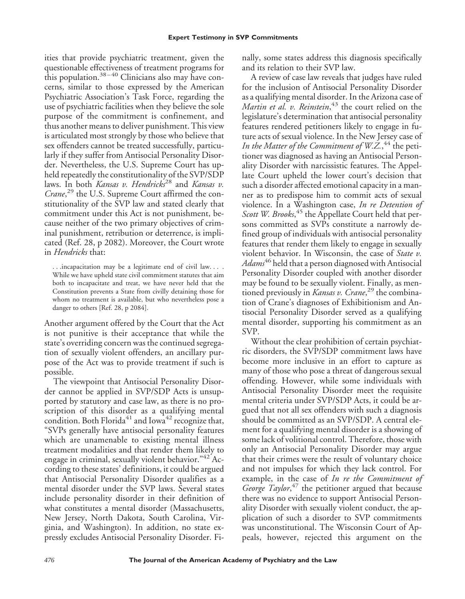ities that provide psychiatric treatment, given the questionable effectiveness of treatment programs for this population. $38-40$  Clinicians also may have concerns, similar to those expressed by the American Psychiatric Association's Task Force, regarding the use of psychiatric facilities when they believe the sole purpose of the commitment is confinement, and thus another means to deliver punishment. This view is articulated most strongly by those who believe that sex offenders cannot be treated successfully, particularly if they suffer from Antisocial Personality Disorder. Nevertheless, the U.S. Supreme Court has upheld repeatedly the constitutionality of the SVP/SDP laws. In both *Kansas v. Hendricks*<sup>28</sup> and *Kansas v. Crane*, <sup>29</sup> the U.S. Supreme Court affirmed the constitutionality of the SVP law and stated clearly that commitment under this Act is not punishment, because neither of the two primary objectives of criminal punishment, retribution or deterrence, is implicated (Ref. 28, p 2082). Moreover, the Court wrote in *Hendricks* that:

. . .incapacitation may be a legitimate end of civil law. . . . While we have upheld state civil commitment statutes that aim both to incapacitate and treat, we have never held that the Constitution prevents a State from civilly detaining those for whom no treatment is available, but who nevertheless pose a danger to others [Ref. 28, p 2084].

Another argument offered by the Court that the Act is not punitive is their acceptance that while the state's overriding concern was the continued segregation of sexually violent offenders, an ancillary purpose of the Act was to provide treatment if such is possible.

The viewpoint that Antisocial Personality Disorder cannot be applied in SVP/SDP Acts is unsupported by statutory and case law, as there is no proscription of this disorder as a qualifying mental condition. Both Florida<sup>41</sup> and Iowa<sup>42</sup> recognize that, "SVPs generally have antisocial personality features which are unamenable to existing mental illness treatment modalities and that render them likely to engage in criminal, sexually violent behavior."<sup>42</sup> According to these states' definitions, it could be argued that Antisocial Personality Disorder qualifies as a mental disorder under the SVP laws. Several states include personality disorder in their definition of what constitutes a mental disorder (Massachusetts, New Jersey, North Dakota, South Carolina, Virginia, and Washington). In addition, no state expressly excludes Antisocial Personality Disorder. Finally, some states address this diagnosis specifically and its relation to their SVP law.

A review of case law reveals that judges have ruled for the inclusion of Antisocial Personality Disorder as a qualifying mental disorder. In the Arizona case of *Martin et al. v. Reinstein*, <sup>43</sup> the court relied on the legislature's determination that antisocial personality features rendered petitioners likely to engage in future acts of sexual violence. In the New Jersey case of In the Matter of the Commitment of W.Z., <sup>44</sup> the petitioner was diagnosed as having an Antisocial Personality Disorder with narcissistic features. The Appellate Court upheld the lower court's decision that such a disorder affected emotional capacity in a manner as to predispose him to commit acts of sexual violence. In a Washington case, *In re Detention of* Scott W. Brooks,<sup>45</sup> the Appellate Court held that persons committed as SVPs constitute a narrowly defined group of individuals with antisocial personality features that render them likely to engage in sexually violent behavior. In Wisconsin, the case of *State v. Adams*<sup>46</sup> held that a person diagnosed with Antisocial Personality Disorder coupled with another disorder may be found to be sexually violent. Finally, as mentioned previously in *Kansas v. Crane*, <sup>29</sup> the combination of Crane's diagnoses of Exhibitionism and Antisocial Personality Disorder served as a qualifying mental disorder, supporting his commitment as an SVP.

Without the clear prohibition of certain psychiatric disorders, the SVP/SDP commitment laws have become more inclusive in an effort to capture as many of those who pose a threat of dangerous sexual offending. However, while some individuals with Antisocial Personality Disorder meet the requisite mental criteria under SVP/SDP Acts, it could be argued that not all sex offenders with such a diagnosis should be committed as an SVP/SDP. A central element for a qualifying mental disorder is a showing of some lack of volitional control. Therefore, those with only an Antisocial Personality Disorder may argue that their crimes were the result of voluntary choice and not impulses for which they lack control. For example, in the case of *In re the Commitment of* George Taylor,<sup>47</sup> the petitioner argued that because there was no evidence to support Antisocial Personality Disorder with sexually violent conduct, the application of such a disorder to SVP commitments was unconstitutional. The Wisconsin Court of Appeals, however, rejected this argument on the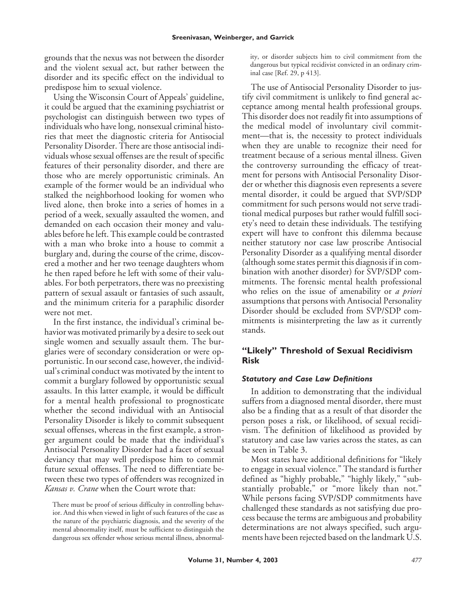grounds that the nexus was not between the disorder and the violent sexual act, but rather between the disorder and its specific effect on the individual to predispose him to sexual violence.

Using the Wisconsin Court of Appeals' guideline, it could be argued that the examining psychiatrist or psychologist can distinguish between two types of individuals who have long, nonsexual criminal histories that meet the diagnostic criteria for Antisocial Personality Disorder. There are those antisocial individuals whose sexual offenses are the result of specific features of their personality disorder, and there are those who are merely opportunistic criminals. An example of the former would be an individual who stalked the neighborhood looking for women who lived alone, then broke into a series of homes in a period of a week, sexually assaulted the women, and demanded on each occasion their money and valuables before he left. This example could be contrasted with a man who broke into a house to commit a burglary and, during the course of the crime, discovered a mother and her two teenage daughters whom he then raped before he left with some of their valuables. For both perpetrators, there was no preexisting pattern of sexual assault or fantasies of such assault, and the minimum criteria for a paraphilic disorder were not met.

In the first instance, the individual's criminal behavior was motivated primarily by a desire to seek out single women and sexually assault them. The burglaries were of secondary consideration or were opportunistic. In our second case, however, the individual's criminal conduct was motivated by the intent to commit a burglary followed by opportunistic sexual assaults. In this latter example, it would be difficult for a mental health professional to prognosticate whether the second individual with an Antisocial Personality Disorder is likely to commit subsequent sexual offenses, whereas in the first example, a stronger argument could be made that the individual's Antisocial Personality Disorder had a facet of sexual deviancy that may well predispose him to commit future sexual offenses. The need to differentiate between these two types of offenders was recognized in *Kansas v. Crane* when the Court wrote that:

There must be proof of serious difficulty in controlling behavior. And this when viewed in light of such features of the case as the nature of the psychiatric diagnosis, and the severity of the mental abnormality itself, must be sufficient to distinguish the dangerous sex offender whose serious mental illness, abnormality, or disorder subjects him to civil commitment from the dangerous but typical recidivist convicted in an ordinary criminal case [Ref. 29, p 413].

The use of Antisocial Personality Disorder to justify civil commitment is unlikely to find general acceptance among mental health professional groups. This disorder does not readily fit into assumptions of the medical model of involuntary civil commitment—that is, the necessity to protect individuals when they are unable to recognize their need for treatment because of a serious mental illness. Given the controversy surrounding the efficacy of treatment for persons with Antisocial Personality Disorder or whether this diagnosis even represents a severe mental disorder, it could be argued that SVP/SDP commitment for such persons would not serve traditional medical purposes but rather would fulfill society's need to detain these individuals. The testifying expert will have to confront this dilemma because neither statutory nor case law proscribe Antisocial Personality Disorder as a qualifying mental disorder (although some states permit this diagnosis if in combination with another disorder) for SVP/SDP commitments. The forensic mental health professional who relies on the issue of amenability or *a priori* assumptions that persons with Antisocial Personality Disorder should be excluded from SVP/SDP commitments is misinterpreting the law as it currently stands.

# **"Likely" Threshold of Sexual Recidivism Risk**

## *Statutory and Case Law Definitions*

In addition to demonstrating that the individual suffers from a diagnosed mental disorder, there must also be a finding that as a result of that disorder the person poses a risk, or likelihood, of sexual recidivism. The definition of likelihood as provided by statutory and case law varies across the states, as can be seen in Table 3.

Most states have additional definitions for "likely to engage in sexual violence." The standard is further defined as "highly probable," "highly likely," "substantially probable," or "more likely than not." While persons facing SVP/SDP commitments have challenged these standards as not satisfying due process because the terms are ambiguous and probability determinations are not always specified, such arguments have been rejected based on the landmark U.S.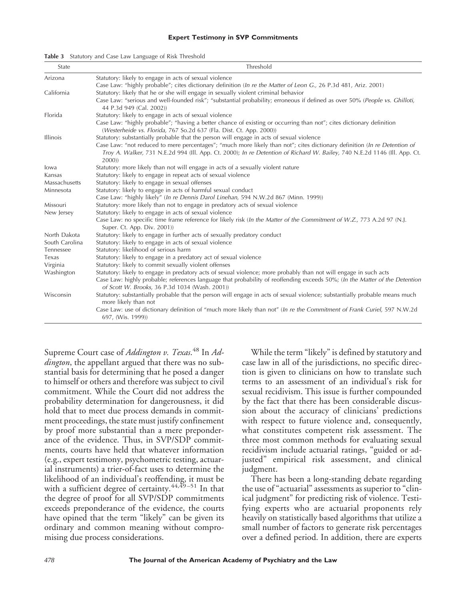#### **Expert Testimony in SVP Commitments**

| State           | Threshold                                                                                                                                                                                                                                                                                          |  |
|-----------------|----------------------------------------------------------------------------------------------------------------------------------------------------------------------------------------------------------------------------------------------------------------------------------------------------|--|
| Arizona         | Statutory: likely to engage in acts of sexual violence                                                                                                                                                                                                                                             |  |
|                 | Case Law: "highly probable"; cites dictionary definition (In re the Matter of Leon G., 26 P.3d 481, Ariz. 2001)                                                                                                                                                                                    |  |
| California      | Statutory: likely that he or she will engage in sexually violent criminal behavior                                                                                                                                                                                                                 |  |
|                 | Case Law: "serious and well-founded risk"; "substantial probability; erroneous if defined as over 50% (People vs. Ghilloti,<br>44 P.3d 949 (Cal. 2002))                                                                                                                                            |  |
| Florida         | Statutory: likely to engage in acts of sexual violence                                                                                                                                                                                                                                             |  |
|                 | Case Law: "highly probable"; "having a better chance of existing or occurring than not"; cites dictionary definition<br>(Westerheide vs. Florida, 767 So.2d 637 (Fla. Dist. Ct. App. 2000))                                                                                                        |  |
| <b>Illinois</b> | Statutory: substantially probable that the person will engage in acts of sexual violence                                                                                                                                                                                                           |  |
|                 | Case Law: "not reduced to mere percentages"; "much more likely than not"; cites dictionary definition (In re Detention of                                                                                                                                                                          |  |
|                 | Troy A. Walker, 731 N.E.2d 994 (Ill. App. Ct. 2000); In re Detention of Richard W. Bailey, 740 N.E.2d 1146 (Ill. App. Ct.<br>2000)                                                                                                                                                                 |  |
| lowa            | Statutory: more likely than not will engage in acts of a sexually violent nature                                                                                                                                                                                                                   |  |
| Kansas          | Statutory: likely to engage in repeat acts of sexual violence                                                                                                                                                                                                                                      |  |
| Massachusetts   | Statutory: likely to engage in sexual offenses                                                                                                                                                                                                                                                     |  |
| Minnesota       | Statutory: likely to engage in acts of harmful sexual conduct                                                                                                                                                                                                                                      |  |
|                 | Case Law: "highly likely" (In re Dennis Darol Linehan, 594 N.W.2d 867 (Minn. 1999))                                                                                                                                                                                                                |  |
| Missouri        | Statutory: more likely than not to engage in predatory acts of sexual violence                                                                                                                                                                                                                     |  |
| New Jersey      | Statutory: likely to engage in acts of sexual violence                                                                                                                                                                                                                                             |  |
|                 | Case Law: no specific time frame reference for likely risk (In the Matter of the Commitment of W.Z., 773 A.2d 97 (N.J.<br>Super. Ct. App. Div. 2001))                                                                                                                                              |  |
| North Dakota    | Statutory: likely to engage in further acts of sexually predatory conduct                                                                                                                                                                                                                          |  |
| South Carolina  | Statutory: likely to engage in acts of sexual violence                                                                                                                                                                                                                                             |  |
| Tennessee       | Statutory: likelihood of serious harm                                                                                                                                                                                                                                                              |  |
| Texas           | Statutory: likely to engage in a predatory act of sexual violence                                                                                                                                                                                                                                  |  |
| Virginia        | Statutory: likely to commit sexually violent offenses                                                                                                                                                                                                                                              |  |
| Washington      | Statutory: likely to engage in predatory acts of sexual violence; more probably than not will engage in such acts<br>Case Law: highly probable; references language that probability of reoffending exceeds 50%; (In the Matter of the Detention<br>of Scott W. Brooks, 36 P.3d 1034 (Wash. 2001)) |  |
| Wisconsin       | Statutory: substantially probable that the person will engage in acts of sexual violence; substantially probable means much<br>more likely than not                                                                                                                                                |  |
|                 | Case Law: use of dictionary definition of "much more likely than not" (In re the Commitment of Frank Curiel, 597 N.W.2d<br>697, (Wis. 1999))                                                                                                                                                       |  |

**Table 3** Statutory and Case Law Language of Risk Threshold

Supreme Court case of *Addington v. Texas*. <sup>48</sup> In *Addington*, the appellant argued that there was no substantial basis for determining that he posed a danger to himself or others and therefore was subject to civil commitment. While the Court did not address the probability determination for dangerousness, it did hold that to meet due process demands in commitment proceedings, the state must justify confinement by proof more substantial than a mere preponderance of the evidence. Thus, in SVP/SDP commitments, courts have held that whatever information (e.g., expert testimony, psychometric testing, actuarial instruments) a trier-of-fact uses to determine the likelihood of an individual's reoffending, it must be with a sufficient degree of certainty.<sup>44,49</sup>-51 In that the degree of proof for all SVP/SDP commitments exceeds preponderance of the evidence, the courts have opined that the term "likely" can be given its ordinary and common meaning without compromising due process considerations.

While the term "likely" is defined by statutory and case law in all of the jurisdictions, no specific direction is given to clinicians on how to translate such terms to an assessment of an individual's risk for sexual recidivism. This issue is further compounded by the fact that there has been considerable discussion about the accuracy of clinicians' predictions with respect to future violence and, consequently, what constitutes competent risk assessment. The three most common methods for evaluating sexual recidivism include actuarial ratings, "guided or adjusted" empirical risk assessment, and clinical judgment.

There has been a long-standing debate regarding the use of "actuarial" assessments as superior to "clinical judgment" for predicting risk of violence. Testifying experts who are actuarial proponents rely heavily on statistically based algorithms that utilize a small number of factors to generate risk percentages over a defined period. In addition, there are experts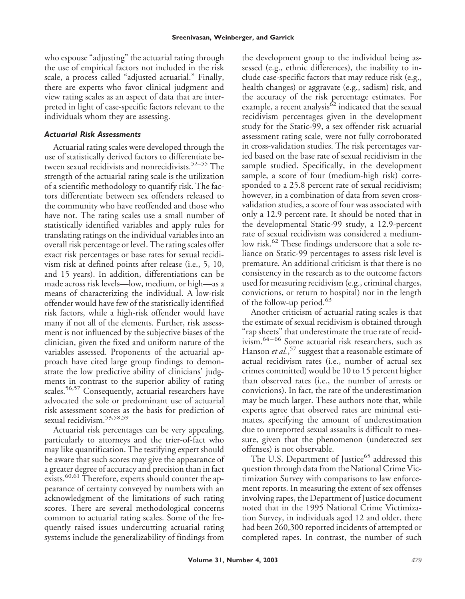who espouse "adjusting" the actuarial rating through the use of empirical factors not included in the risk scale, a process called "adjusted actuarial." Finally, there are experts who favor clinical judgment and view rating scales as an aspect of data that are interpreted in light of case-specific factors relevant to the individuals whom they are assessing.

## *Actuarial Risk Assessments*

Actuarial rating scales were developed through the use of statistically derived factors to differentiate between sexual recidivists and nonrecidivists.<sup>52–55</sup> The strength of the actuarial rating scale is the utilization of a scientific methodology to quantify risk. The factors differentiate between sex offenders released to the community who have reoffended and those who have not. The rating scales use a small number of statistically identified variables and apply rules for translating ratings on the individual variables into an overall risk percentage or level. The rating scales offer exact risk percentages or base rates for sexual recidivism risk at defined points after release (i.e., 5, 10, and 15 years). In addition, differentiations can be made across risk levels—low, medium, or high—as a means of characterizing the individual. A low-risk offender would have few of the statistically identified risk factors, while a high-risk offender would have many if not all of the elements. Further, risk assessment is not influenced by the subjective biases of the clinician, given the fixed and uniform nature of the variables assessed. Proponents of the actuarial approach have cited large group findings to demonstrate the low predictive ability of clinicians' judgments in contrast to the superior ability of rating scales.<sup>56,57</sup> Consequently, actuarial researchers have advocated the sole or predominant use of actuarial risk assessment scores as the basis for prediction of sexual recidivism.53,58,59

Actuarial risk percentages can be very appealing, particularly to attorneys and the trier-of-fact who may like quantification. The testifying expert should be aware that such scores may give the appearance of a greater degree of accuracy and precision than in fact exists.<sup>60,61</sup> Therefore, experts should counter the appearance of certainty conveyed by numbers with an acknowledgment of the limitations of such rating scores. There are several methodological concerns common to actuarial rating scales. Some of the frequently raised issues undercutting actuarial rating systems include the generalizability of findings from

the development group to the individual being assessed (e.g., ethnic differences), the inability to include case-specific factors that may reduce risk (e.g., health changes) or aggravate (e.g., sadism) risk, and the accuracy of the risk percentage estimates. For example, a recent analysis $62$  indicated that the sexual recidivism percentages given in the development study for the Static-99, a sex offender risk actuarial assessment rating scale, were not fully corroborated in cross-validation studies. The risk percentages varied based on the base rate of sexual recidivism in the sample studied. Specifically, in the development sample, a score of four (medium-high risk) corresponded to a 25.8 percent rate of sexual recidivism; however, in a combination of data from seven crossvalidation studies, a score of four was associated with only a 12.9 percent rate. It should be noted that in the developmental Static-99 study, a 12.9-percent rate of sexual recidivism was considered a mediumlow risk.<sup>62</sup> These findings underscore that a sole reliance on Static-99 percentages to assess risk level is premature. An additional criticism is that there is no consistency in the research as to the outcome factors used for measuring recidivism (e.g., criminal charges, convictions, or return to hospital) nor in the length of the follow-up period.<sup>63</sup>

Another criticism of actuarial rating scales is that the estimate of sexual recidivism is obtained through "rap sheets" that underestimate the true rate of recidivism.64–66 Some actuarial risk researchers, such as Hanson *et al.*, <sup>57</sup> suggest that a reasonable estimate of actual recidivism rates (i.e., number of actual sex crimes committed) would be 10 to 15 percent higher than observed rates (i.e., the number of arrests or convictions). In fact, the rate of the underestimation may be much larger. These authors note that, while experts agree that observed rates are minimal estimates, specifying the amount of underestimation due to unreported sexual assaults is difficult to measure, given that the phenomenon (undetected sex offenses) is not observable.

The U.S. Department of Justice<sup>65</sup> addressed this question through data from the National Crime Victimization Survey with comparisons to law enforcement reports. In measuring the extent of sex offenses involving rapes, the Department of Justice document noted that in the 1995 National Crime Victimization Survey, in individuals aged 12 and older, there had been 260,300 reported incidents of attempted or completed rapes. In contrast, the number of such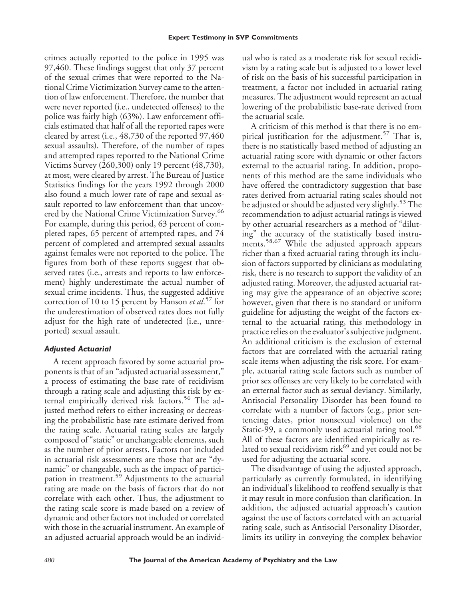crimes actually reported to the police in 1995 was 97,460. These findings suggest that only 37 percent of the sexual crimes that were reported to the National Crime Victimization Survey came to the attention of law enforcement. Therefore, the number that were never reported (i.e., undetected offenses) to the police was fairly high (63%). Law enforcement officials estimated that half of all the reported rapes were cleared by arrest (i.e., 48,730 of the reported 97,460 sexual assaults). Therefore, of the number of rapes and attempted rapes reported to the National Crime Victims Survey (260,300) only 19 percent (48,730), at most, were cleared by arrest. The Bureau of Justice Statistics findings for the years 1992 through 2000 also found a much lower rate of rape and sexual assault reported to law enforcement than that uncovered by the National Crime Victimization Survey.<sup>66</sup> For example, during this period, 63 percent of completed rapes, 65 percent of attempted rapes, and 74 percent of completed and attempted sexual assaults against females were not reported to the police. The figures from both of these reports suggest that observed rates (i.e., arrests and reports to law enforcement) highly underestimate the actual number of sexual crime incidents. Thus, the suggested additive correction of 10 to 15 percent by Hanson *et al*. <sup>57</sup> for the underestimation of observed rates does not fully adjust for the high rate of undetected (i.e., unreported) sexual assault.

# *Adjusted Actuarial*

A recent approach favored by some actuarial proponents is that of an "adjusted actuarial assessment," a process of estimating the base rate of recidivism through a rating scale and adjusting this risk by external empirically derived risk factors.<sup>56</sup> The adjusted method refers to either increasing or decreasing the probabilistic base rate estimate derived from the rating scale. Actuarial rating scales are largely composed of "static" or unchangeable elements, such as the number of prior arrests. Factors not included in actuarial risk assessments are those that are "dynamic" or changeable, such as the impact of participation in treatment.<sup>59</sup> Adjustments to the actuarial rating are made on the basis of factors that do not correlate with each other. Thus, the adjustment to the rating scale score is made based on a review of dynamic and other factors not included or correlated with those in the actuarial instrument. An example of an adjusted actuarial approach would be an individual who is rated as a moderate risk for sexual recidivism by a rating scale but is adjusted to a lower level of risk on the basis of his successful participation in treatment, a factor not included in actuarial rating measures. The adjustment would represent an actual lowering of the probabilistic base-rate derived from the actuarial scale.

A criticism of this method is that there is no empirical justification for the adjustment.<sup>57</sup> That is, there is no statistically based method of adjusting an actuarial rating score with dynamic or other factors external to the actuarial rating. In addition, proponents of this method are the same individuals who have offered the contradictory suggestion that base rates derived from actuarial rating scales should not be adjusted or should be adjusted very slightly.<sup>53</sup> The recommendation to adjust actuarial ratings is viewed by other actuarial researchers as a method of "diluting" the accuracy of the statistically based instruments.58,67 While the adjusted approach appears richer than a fixed actuarial rating through its inclusion of factors supported by clinicians as modulating risk, there is no research to support the validity of an adjusted rating. Moreover, the adjusted actuarial rating may give the appearance of an objective score; however, given that there is no standard or uniform guideline for adjusting the weight of the factors external to the actuarial rating, this methodology in practice relies on the evaluator's subjective judgment. An additional criticism is the exclusion of external factors that are correlated with the actuarial rating scale items when adjusting the risk score. For example, actuarial rating scale factors such as number of prior sex offenses are very likely to be correlated with an external factor such as sexual deviancy. Similarly, Antisocial Personality Disorder has been found to correlate with a number of factors (e.g., prior sentencing dates, prior nonsexual violence) on the Static-99, a commonly used actuarial rating tool.<sup>68</sup> All of these factors are identified empirically as related to sexual recidivism risk<sup>69</sup> and yet could not be used for adjusting the actuarial score.

The disadvantage of using the adjusted approach, particularly as currently formulated, in identifying an individual's likelihood to reoffend sexually is that it may result in more confusion than clarification. In addition, the adjusted actuarial approach's caution against the use of factors correlated with an actuarial rating scale, such as Antisocial Personality Disorder, limits its utility in conveying the complex behavior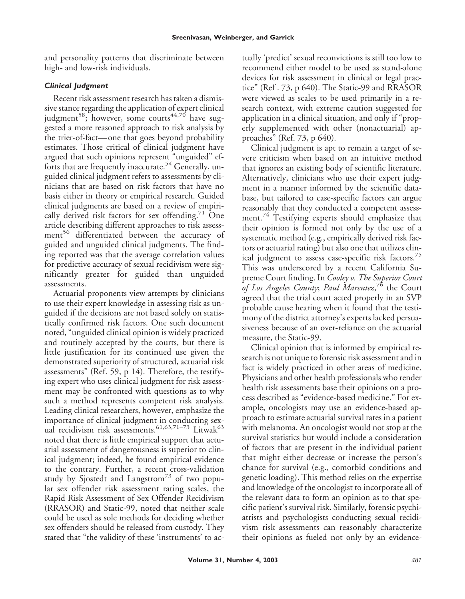and personality patterns that discriminate between high- and low-risk individuals.

# *Clinical Judgment*

Recent risk assessment research has taken a dismissive stance regarding the application of expert clinical judgment<sup>58</sup>; however, some courts<sup>44,70</sup> have suggested a more reasoned approach to risk analysis by the trier-of-fact—one that goes beyond probability estimates. Those critical of clinical judgment have argued that such opinions represent "unguided" efforts that are frequently inaccurate.<sup>54</sup> Generally, unguided clinical judgment refers to assessments by clinicians that are based on risk factors that have no basis either in theory or empirical research. Guided clinical judgments are based on a review of empirically derived risk factors for sex offending.<sup>71</sup> One article describing different approaches to risk assessment<sup>56</sup> differentiated between the accuracy of guided and unguided clinical judgments. The finding reported was that the average correlation values for predictive accuracy of sexual recidivism were significantly greater for guided than unguided assessments.

Actuarial proponents view attempts by clinicians to use their expert knowledge in assessing risk as unguided if the decisions are not based solely on statistically confirmed risk factors. One such document noted, "unguided clinical opinion is widely practiced and routinely accepted by the courts, but there is little justification for its continued use given the demonstrated superiority of structured, actuarial risk assessments" (Ref. 59, p 14). Therefore, the testifying expert who uses clinical judgment for risk assessment may be confronted with questions as to why such a method represents competent risk analysis. Leading clinical researchers, however, emphasize the importance of clinical judgment in conducting sexual recidivism risk assessments.<sup>61,63,71–73</sup> Litwak<sup>63</sup> noted that there is little empirical support that actuarial assessment of dangerousness is superior to clinical judgment; indeed, he found empirical evidence to the contrary. Further, a recent cross-validation study by Sjostedt and Langstrom<sup>73</sup> of two popular sex offender risk assessment rating scales, the Rapid Risk Assessment of Sex Offender Recidivism (RRASOR) and Static-99, noted that neither scale could be used as sole methods for deciding whether sex offenders should be released from custody. They stated that "the validity of these 'instruments' to actually 'predict' sexual reconvictions is still too low to recommend either model to be used as stand-alone devices for risk assessment in clinical or legal practice" (Ref . 73, p 640). The Static-99 and RRASOR were viewed as scales to be used primarily in a research context, with extreme caution suggested for application in a clinical situation, and only if "properly supplemented with other (nonactuarial) approaches" (Ref. 73, p 640).

Clinical judgment is apt to remain a target of severe criticism when based on an intuitive method that ignores an existing body of scientific literature. Alternatively, clinicians who use their expert judgment in a manner informed by the scientific database, but tailored to case-specific factors can argue reasonably that they conducted a competent assessment.<sup>74</sup> Testifying experts should emphasize that their opinion is formed not only by the use of a systematic method (e.g., empirically derived risk factors or actuarial rating) but also one that utilizes clinical judgment to assess case-specific risk factors.<sup>75</sup> This was underscored by a recent California Supreme Court finding. In *Cooley v. The Superior Court of Los Angeles County*; *Paul Marentez*, <sup>76</sup> the Court agreed that the trial court acted properly in an SVP probable cause hearing when it found that the testimony of the district attorney's experts lacked persuasiveness because of an over-reliance on the actuarial measure, the Static-99.

Clinical opinion that is informed by empirical research is not unique to forensic risk assessment and in fact is widely practiced in other areas of medicine. Physicians and other health professionals who render health risk assessments base their opinions on a process described as "evidence-based medicine." For example, oncologists may use an evidence-based approach to estimate actuarial survival rates in a patient with melanoma. An oncologist would not stop at the survival statistics but would include a consideration of factors that are present in the individual patient that might either decrease or increase the person's chance for survival (e.g., comorbid conditions and genetic loading). This method relies on the expertise and knowledge of the oncologist to incorporate all of the relevant data to form an opinion as to that specific patient's survival risk. Similarly, forensic psychiatrists and psychologists conducting sexual recidivism risk assessments can reasonably characterize their opinions as fueled not only by an evidence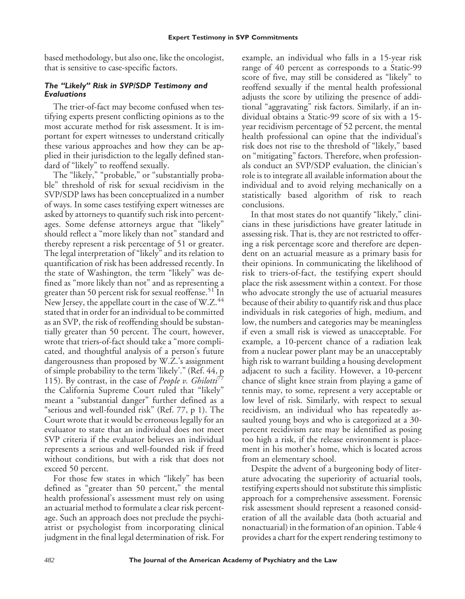based methodology, but also one, like the oncologist, that is sensitive to case-specific factors.

# *The "Likely" Risk in SVP/SDP Testimony and Evaluations*

The trier-of-fact may become confused when testifying experts present conflicting opinions as to the most accurate method for risk assessment. It is important for expert witnesses to understand critically these various approaches and how they can be applied in their jurisdiction to the legally defined standard of "likely" to reoffend sexually.

The "likely," "probable," or "substantially probable" threshold of risk for sexual recidivism in the SVP/SDP laws has been conceptualized in a number of ways. In some cases testifying expert witnesses are asked by attorneys to quantify such risk into percentages. Some defense attorneys argue that "likely" should reflect a "more likely than not" standard and thereby represent a risk percentage of 51 or greater. The legal interpretation of "likely" and its relation to quantification of risk has been addressed recently. In the state of Washington, the term "likely" was defined as "more likely than not" and as representing a greater than 50 percent risk for sexual reoffense.<sup>51</sup> In New Jersey, the appellate court in the case of W.Z.<sup>44</sup> stated that in order for an individual to be committed as an SVP, the risk of reoffending should be substantially greater than 50 percent. The court, however, wrote that triers-of-fact should take a "more complicated, and thoughtful analysis of a person's future dangerousness than proposed by W.Z.'s assignment of simple probability to the term 'likely'." (Ref. 44, p 115). By contrast, in the case of *People v. Ghilotti<sup>* $\frac{1}{2}$ *</sup>* the California Supreme Court ruled that "likely" meant a "substantial danger" further defined as a "serious and well-founded risk" (Ref. 77, p 1). The Court wrote that it would be erroneous legally for an evaluator to state that an individual does not meet SVP criteria if the evaluator believes an individual represents a serious and well-founded risk if freed without conditions, but with a risk that does not exceed 50 percent.

For those few states in which "likely" has been defined as "greater than 50 percent," the mental health professional's assessment must rely on using an actuarial method to formulate a clear risk percentage. Such an approach does not preclude the psychiatrist or psychologist from incorporating clinical judgment in the final legal determination of risk. For

example, an individual who falls in a 15-year risk range of 40 percent as corresponds to a Static-99 score of five, may still be considered as "likely" to reoffend sexually if the mental health professional adjusts the score by utilizing the presence of additional "aggravating" risk factors. Similarly, if an individual obtains a Static-99 score of six with a 15 year recidivism percentage of 52 percent, the mental health professional can opine that the individual's risk does not rise to the threshold of "likely," based on "mitigating" factors. Therefore, when professionals conduct an SVP/SDP evaluation, the clinician's role is to integrate all available information about the individual and to avoid relying mechanically on a statistically based algorithm of risk to reach conclusions.

In that most states do not quantify "likely," clinicians in these jurisdictions have greater latitude in assessing risk. That is, they are not restricted to offering a risk percentage score and therefore are dependent on an actuarial measure as a primary basis for their opinions. In communicating the likelihood of risk to triers-of-fact, the testifying expert should place the risk assessment within a context. For those who advocate strongly the use of actuarial measures because of their ability to quantify risk and thus place individuals in risk categories of high, medium, and low, the numbers and categories may be meaningless if even a small risk is viewed as unacceptable. For example, a 10-percent chance of a radiation leak from a nuclear power plant may be an unacceptably high risk to warrant building a housing development adjacent to such a facility. However, a 10-percent chance of slight knee strain from playing a game of tennis may, to some, represent a very acceptable or low level of risk. Similarly, with respect to sexual recidivism, an individual who has repeatedly assaulted young boys and who is categorized at a 30 percent recidivism rate may be identified as posing too high a risk, if the release environment is placement in his mother's home, which is located across from an elementary school.

Despite the advent of a burgeoning body of literature advocating the superiority of actuarial tools, testifying experts should not substitute this simplistic approach for a comprehensive assessment. Forensic risk assessment should represent a reasoned consideration of all the available data (both actuarial and nonactuarial) in the formation of an opinion. Table 4 provides a chart for the expert rendering testimony to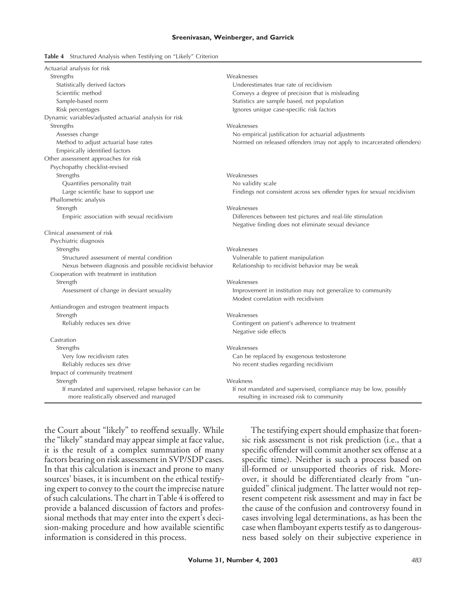#### **Sreenivasan, Weinberger, and Garrick**

#### **Table 4** Structured Analysis when Testifying on "Likely" Criterion

| Actuarial analysis for risk                                                                    |                                                                                                             |
|------------------------------------------------------------------------------------------------|-------------------------------------------------------------------------------------------------------------|
| Strengths                                                                                      | Weaknesses                                                                                                  |
| Statistically derived factors                                                                  | Underestimates true rate of recidivism                                                                      |
| Scientific method                                                                              | Conveys a degree of precision that is misleading                                                            |
| Sample-based norm                                                                              | Statistics are sample based, not population                                                                 |
| Risk percentages                                                                               | Ignores unique case-specific risk factors                                                                   |
| Dynamic variables/adjusted actuarial analysis for risk                                         |                                                                                                             |
| Strengths                                                                                      | Weaknesses                                                                                                  |
| Assesses change                                                                                | No empirical justification for actuarial adjustments                                                        |
| Method to adjust actuarial base rates                                                          | Normed on released offenders (may not apply to incarcerated offenders)                                      |
| Empirically identified factors                                                                 |                                                                                                             |
| Other assessment approaches for risk                                                           |                                                                                                             |
| Psychopathy checklist-revised                                                                  |                                                                                                             |
| Strengths                                                                                      | Weaknesses                                                                                                  |
| Quantifies personality trait                                                                   | No validity scale                                                                                           |
| Large scientific base to support use                                                           | Findings not consistent across sex offender types for sexual recidivism                                     |
| Phallometric analysis                                                                          |                                                                                                             |
| Strength                                                                                       | Weaknesses                                                                                                  |
| Empiric association with sexual recidivism                                                     | Differences between test pictures and real-life stimulation                                                 |
|                                                                                                | Negative finding does not eliminate sexual deviance                                                         |
| Clinical assessment of risk                                                                    |                                                                                                             |
| Psychiatric diagnosis                                                                          |                                                                                                             |
| Strengths                                                                                      | Weaknesses                                                                                                  |
| Structured assessment of mental condition                                                      | Vulnerable to patient manipulation                                                                          |
| Nexus between diagnosis and possible recidivist behavior                                       | Relationship to recidivist behavior may be weak                                                             |
| Cooperation with treatment in institution                                                      |                                                                                                             |
| Strength                                                                                       | Weaknesses                                                                                                  |
| Assessment of change in deviant sexuality                                                      | Improvement in institution may not generalize to community<br>Modest correlation with recidivism            |
| Antiandrogen and estrogen treatment impacts                                                    |                                                                                                             |
| Strength                                                                                       | Weaknesses                                                                                                  |
| Reliably reduces sex drive                                                                     | Contingent on patient's adherence to treatment                                                              |
|                                                                                                | Negative side effects                                                                                       |
| Castration                                                                                     |                                                                                                             |
| Strengths                                                                                      | Weaknesses                                                                                                  |
| Very low recidivism rates                                                                      | Can be replaced by exogenous testosterone                                                                   |
| Reliably reduces sex drive                                                                     | No recent studies regarding recidivism                                                                      |
| Impact of community treatment                                                                  |                                                                                                             |
| Strength                                                                                       | Weakness                                                                                                    |
| If mandated and supervised, relapse behavior can be<br>more realistically observed and managed | If not mandated and supervised, compliance may be low, possibly<br>resulting in increased risk to community |

the Court about "likely" to reoffend sexually. While the "likely" standard may appear simple at face value, it is the result of a complex summation of many factors bearing on risk assessment in SVP/SDP cases. In that this calculation is inexact and prone to many sources' biases, it is incumbent on the ethical testifying expert to convey to the court the imprecise nature of such calculations. The chart in Table 4 is offered to provide a balanced discussion of factors and professional methods that may enter into the expert's decision-making procedure and how available scientific information is considered in this process.

The testifying expert should emphasize that forensic risk assessment is not risk prediction (i.e., that a specific offender will commit another sex offense at a specific time). Neither is such a process based on ill-formed or unsupported theories of risk. Moreover, it should be differentiated clearly from "unguided" clinical judgment. The latter would not represent competent risk assessment and may in fact be the cause of the confusion and controversy found in cases involving legal determinations, as has been the case when flamboyant experts testify as to dangerousness based solely on their subjective experience in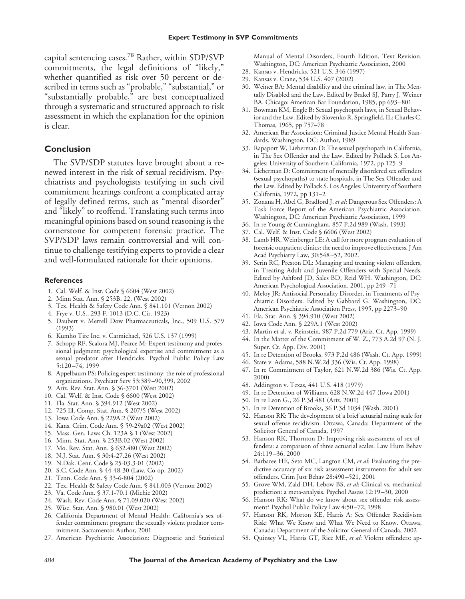capital sentencing cases.<sup>78</sup> Rather, within SDP/SVP commitments, the legal definitions of "likely," whether quantified as risk over 50 percent or described in terms such as "probable," "substantial," or "substantially probable, $\overline{p}$  are best conceptualized through a systematic and structured approach to risk assessment in which the explanation for the opinion is clear.

### **Conclusion**

The SVP/SDP statutes have brought about a renewed interest in the risk of sexual recidivism. Psychiatrists and psychologists testifying in such civil commitment hearings confront a complicated array of legally defined terms, such as "mental disorder" and "likely" to reoffend. Translating such terms into meaningful opinions based on sound reasoning is the cornerstone for competent forensic practice. The SVP/SDP laws remain controversial and will continue to challenge testifying experts to provide a clear and well-formulated rationale for their opinions.

#### **References**

- 1. Cal. Welf. & Inst. Code § 6604 (West 2002)
- 2. Minn Stat. Ann. § 253B. 22, (West 2002)
- 3. Tex. Health & Safety Code Ann. § 841.101 (Vernon 2002)
- 4. Frye v. U.S., 293 F. 1013 (D.C. Cir. 1923)
- 5. Daubert v. Merrell Dow Pharmaceuticals, Inc., 509 U.S. 579 (1993)
- 6. Kumho Tire Inc. v. Carmichael, 526 U.S. 137 (1999)
- 7. Schopp RF, Scalora MJ, Pearce M: Expert testimony and professional judgment: psychological expertise and commitment as a sexual predator after Hendricks. Psychol Public Policy Law 5:120–74, 1999
- 8. Appelbaum PS: Policing expert testimony: the role of professional organizations. Psychiatr Serv 53:389–90,399, 2002
- 9. Ariz. Rev. Stat. Ann. § 36-3701 (West 2002)
- 10. Cal. Welf. & Inst. Code § 6600 (West 2002)
- 11. Fla. Stat. Ann. § 394.912 (West 2002)
- 12. 725 Ill. Comp. Stat. Ann. § 207/5 (West 2002)
- 13. Iowa Code Ann. § 229A.2 (West 2002)
- 14. Kans. Crim. Code Ann. § 59-29a02 (West 2002)
- 15. Mass. Gen. Laws Ch. 123A § 1 (West 2002)
- 16. Minn. Stat. Ann. § 253B.02 (West 2002)
- 17. Mo. Rev. Stat. Ann. § 632.480 (West 2002)
- 18. N.J. Stat. Ann. § 30:4-27.26 (West 2002)
- 19. N.Dak. Cent. Code § 25-03.3-01 (2002)
- 20. S.C. Code Ann. § 44-48-30 (Law. Co-op. 2002)
- 21. Tenn. Code Ann. § 33-6-804 (2002)
- 22. Tex. Health & Safety Code Ann. § 841.003 (Vernon 2002)
- 23. Va. Code Ann. § 37.1-70.1 (Michie 2002)
- 24. Wash. Rev. Code Ann. § 71.09.020 (West 2002)
- 25. Wisc. Stat. Ann. § 980.01 (West 2002)
- 26. California Department of Mental Health: California's sex offender commitment program: the sexually violent predator commitment. Sacramento: Author, 2001
- 27. American Psychiatric Association: Diagnostic and Statistical

Manual of Mental Disorders, Fourth Edition, Text Revision. Washington, DC: American Psychiatric Association, 2000

- 28. Kansas v. Hendricks, 521 U.S. 346 (1997)
- 29. Kansas v. Crane, 534 U.S. 407 (2002)
- 30. Weiner BA: Mental disability and the criminal law, in The Mentally Disabled and the Law. Edited by Brakel SJ, Parry J, Weiner BA. Chicago: American Bar Foundation, 1985, pp 693–801
- 31. Bowman KM, Engle B: Sexual psychopath laws, in Sexual Behavior and the Law. Edited by Slovenko R. Springfield, IL: Charles C. Thomas, 1965, pp 757–78
- 32. American Bar Association: Criminal Justice Mental Health Standards. Washington, DC: Author, 1989
- 33. Rapaport W, Lieberman D: The sexual psychopath in California, in The Sex Offender and the Law. Edited by Pollack S. Los Angeles: University of Southern California, 1972, pp 125–9
- 34. Lieberman D: Commitment of mentally disordered sex offenders (sexual psychopaths) to state hospitals, in The Sex Offender and the Law. Edited by Pollack S. Los Angeles: University of Southern California, 1972, pp 131–2
- 35. Zonana H, Abel G, Bradford J, *et al*: Dangerous Sex Offenders: A Task Force Report of the American Psychiatric Association. Washington, DC: American Psychiatric Association, 1999
- 36. In re Young & Cunningham, 857 P.2d 989 (Wash. 1993)
- 37. Cal. Welf. & Inst. Code § 6606 (West 2002)
- 38. Lamb HR, Weinberger LE: A call for more program evaluation of forensic outpatient clinics: the need to improve effectiveness. J Am Acad Psychiatry Law, 30:548–52, 2002.
- 39. Serin RC, Preston DL: Managing and treating violent offenders, in Treating Adult and Juvenile Offenders with Special Needs. Edited by Ashford JD, Sales BD, Reid WH. Washington, DC: American Psychological Association, 2001, pp 249–71
- 40. Meloy JR: Antisocial Personality Disorder, in Treatments of Psychiatric Disorders. Edited by Gabbard G. Washington, DC: American Psychiatric Association Press, 1995, pp 2273–90
- 41. Fla. Stat. Ann. § 394.910 (West 2002)
- 42. Iowa Code Ann. § 229A.1 (West 2002)
- 43. Martin et al. v. Reinstein, 987 P.2d 779 (Ariz. Ct. App. 1999)
- 44. In the Matter of the Commitment of W. Z., 773 A.2d 97 (N. J. Super. Ct. App. Div. 2001)
- 45. In re Detention of Brooks, 973 P.2d 486 (Wash. Ct. App. 1999)
- 46. State v. Adams, 588 N.W.2d 336 (Wis. Ct. App. 1998)
- 47. In re Commitment of Taylor, 621 N.W.2d 386 (Wis. Ct. App. 2000)
- 48. Addington v. Texas, 441 U.S. 418 (1979)
- 49. In re Detention of Williams, 628 N.W.2d 447 (Iowa 2001)
- 50. In re Leon G., 26 P.3d 481 (Ariz. 2001)
- 51. In re Detention of Brooks, 36 P.3d 1034 (Wash. 2001)
- 52. Hanson RK: The development of a brief actuarial rating scale for sexual offense recidivism. Ottawa, Canada: Department of the Solicitor General of Canada, 1997
- 53. Hanson RK, Thornton D: Improving risk assessment of sex offenders: a comparison of three actuarial scales. Law Hum Behav 24:119–36, 2000
- 54. Barbaree HE, Seto MC, Langton CM, *et al*: Evaluating the predictive accuracy of six risk assessment instruments for adult sex offenders. Crim Just Behav 28:490–521, 2001
- 55. Grove WM, Zald DH, Lebow BS, *et al*: Clinical vs. mechanical prediction: a meta-analysis. Psychol Assess 12:19–30, 2000
- 56. Hanson RK: What do we know about sex offender risk assessment? Psychol Public Policy Law 4:50–72, 1998
- 57. Hanson RK, Morton KE, Harris A: Sex Offender Recidivism Risk: What We Know and What We Need to Know. Ottawa, Canada: Department of the Solicitor General of Canada, 2002
- 58. Quinsey VL, Harris GT, Rice ME, *et al*: Violent offenders: ap-